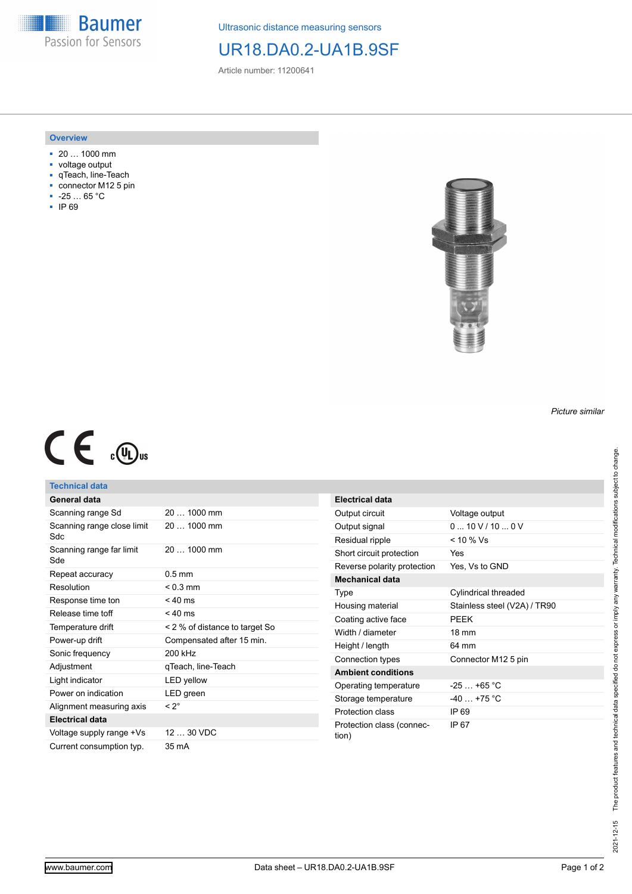

Ultrasonic distance measuring sensors

# UR18.DA0.2-UA1B.9SF

Article number: 11200641

#### **Overview**

- 20 … 1000 mm
- voltage output
- qTeach, line-Teach
- connector M12 5 pin
- -25 … 65 °C ■ IP 69



# $C \in \mathbb{C}$

## **Technical data**

| <b>General data</b>                |                                |  |
|------------------------------------|--------------------------------|--|
| Scanning range Sd                  | $201000$ mm                    |  |
| Scanning range close limit<br>Sdc. | 20  1000 mm                    |  |
| Scanning range far limit<br>Sde    | $201000$ mm                    |  |
| Repeat accuracy                    | $0.5$ mm                       |  |
| Resolution                         | $< 0.3$ mm                     |  |
| Response time ton                  | $< 40$ ms                      |  |
| Release time toff                  | $< 40$ ms                      |  |
| Temperature drift                  | < 2 % of distance to target So |  |
| Power-up drift                     | Compensated after 15 min.      |  |
| Sonic frequency                    | 200 kHz                        |  |
| Adjustment                         | gTeach, line-Teach             |  |
| Light indicator                    | LED yellow                     |  |
| Power on indication                | LED green                      |  |
| Alignment measuring axis           | $< 2^{\circ}$                  |  |
| <b>Electrical data</b>             |                                |  |
| Voltage supply range +Vs           | 12  30 VDC                     |  |
| Current consumption typ.           | 35 mA                          |  |

| <b>Electrical data</b>             |                              |  |
|------------------------------------|------------------------------|--|
| Output circuit                     | Voltage output               |  |
| Output signal                      | 010V/100V                    |  |
| Residual ripple                    | $< 10 \%$ Vs                 |  |
| Short circuit protection           | Yes                          |  |
| Reverse polarity protection        | Yes, Vs to GND               |  |
| Mechanical data                    |                              |  |
| Type                               | Cylindrical threaded         |  |
| Housing material                   | Stainless steel (V2A) / TR90 |  |
| Coating active face                | PFFK                         |  |
| Width / diameter                   | $18 \text{ mm}$              |  |
| Height / length                    | 64 mm                        |  |
| Connection types                   | Connector M12 5 pin          |  |
| <b>Ambient conditions</b>          |                              |  |
| Operating temperature              | $-25+65$ °C                  |  |
| Storage temperature                | $-40 + 75$ °C                |  |
| Protection class                   | IP 69                        |  |
| Protection class (connec-<br>tion) | IP 67                        |  |

*Picture similar*